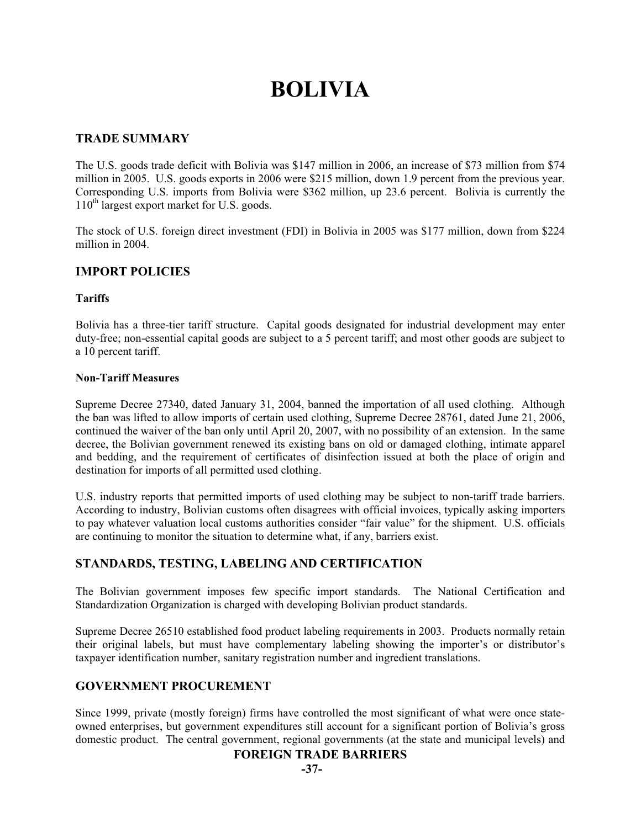# **BOLIVIA**

## **TRADE SUMMARY**

The U.S. goods trade deficit with Bolivia was \$147 million in 2006, an increase of \$73 million from \$74 million in 2005. U.S. goods exports in 2006 were \$215 million, down 1.9 percent from the previous year. Corresponding U.S. imports from Bolivia were \$362 million, up 23.6 percent. Bolivia is currently the 110th largest export market for U.S. goods.

The stock of U.S. foreign direct investment (FDI) in Bolivia in 2005 was \$177 million, down from \$224 million in 2004.

## **IMPORT POLICIES**

#### **Tariffs**

Bolivia has a three-tier tariff structure. Capital goods designated for industrial development may enter duty-free; non-essential capital goods are subject to a 5 percent tariff; and most other goods are subject to a 10 percent tariff.

#### **Non-Tariff Measures**

Supreme Decree 27340, dated January 31, 2004, banned the importation of all used clothing. Although the ban was lifted to allow imports of certain used clothing, Supreme Decree 28761, dated June 21, 2006, continued the waiver of the ban only until April 20, 2007, with no possibility of an extension. In the same decree, the Bolivian government renewed its existing bans on old or damaged clothing, intimate apparel and bedding, and the requirement of certificates of disinfection issued at both the place of origin and destination for imports of all permitted used clothing.

U.S. industry reports that permitted imports of used clothing may be subject to non-tariff trade barriers. According to industry, Bolivian customs often disagrees with official invoices, typically asking importers to pay whatever valuation local customs authorities consider "fair value" for the shipment. U.S. officials are continuing to monitor the situation to determine what, if any, barriers exist.

# **STANDARDS, TESTING, LABELING AND CERTIFICATION**

The Bolivian government imposes few specific import standards. The National Certification and Standardization Organization is charged with developing Bolivian product standards.

Supreme Decree 26510 established food product labeling requirements in 2003. Products normally retain their original labels, but must have complementary labeling showing the importer's or distributor's taxpayer identification number, sanitary registration number and ingredient translations.

# **GOVERNMENT PROCUREMENT**

Since 1999, private (mostly foreign) firms have controlled the most significant of what were once stateowned enterprises, but government expenditures still account for a significant portion of Bolivia's gross domestic product. The central government, regional governments (at the state and municipal levels) and

## **FOREIGN TRADE BARRIERS**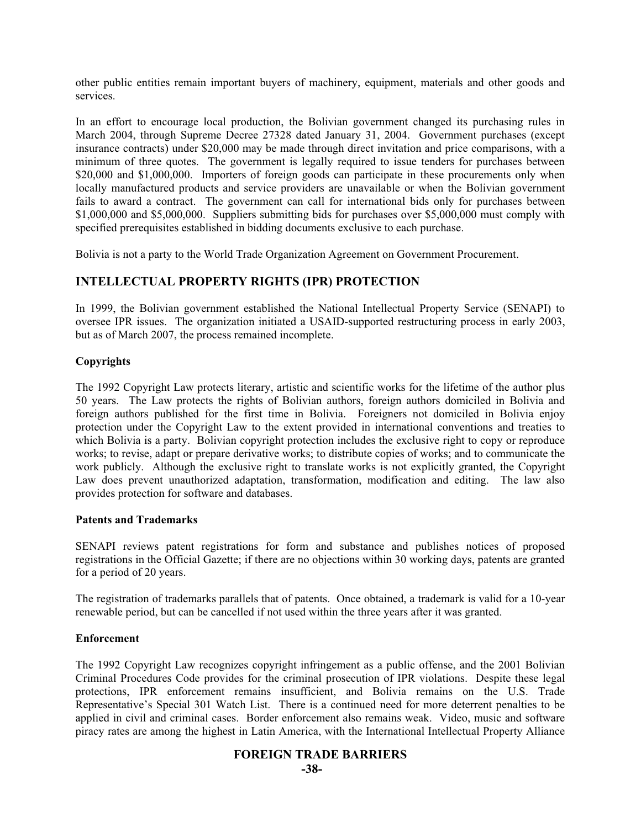other public entities remain important buyers of machinery, equipment, materials and other goods and services.

In an effort to encourage local production, the Bolivian government changed its purchasing rules in March 2004, through Supreme Decree 27328 dated January 31, 2004. Government purchases (except insurance contracts) under \$20,000 may be made through direct invitation and price comparisons, with a minimum of three quotes. The government is legally required to issue tenders for purchases between \$20,000 and \$1,000,000. Importers of foreign goods can participate in these procurements only when locally manufactured products and service providers are unavailable or when the Bolivian government fails to award a contract. The government can call for international bids only for purchases between \$1,000,000 and \$5,000,000. Suppliers submitting bids for purchases over \$5,000,000 must comply with specified prerequisites established in bidding documents exclusive to each purchase.

Bolivia is not a party to the World Trade Organization Agreement on Government Procurement.

# **INTELLECTUAL PROPERTY RIGHTS (IPR) PROTECTION**

In 1999, the Bolivian government established the National Intellectual Property Service (SENAPI) to oversee IPR issues. The organization initiated a USAID-supported restructuring process in early 2003, but as of March 2007, the process remained incomplete.

## **Copyrights**

The 1992 Copyright Law protects literary, artistic and scientific works for the lifetime of the author plus 50 years. The Law protects the rights of Bolivian authors, foreign authors domiciled in Bolivia and foreign authors published for the first time in Bolivia. Foreigners not domiciled in Bolivia enjoy protection under the Copyright Law to the extent provided in international conventions and treaties to which Bolivia is a party. Bolivian copyright protection includes the exclusive right to copy or reproduce works; to revise, adapt or prepare derivative works; to distribute copies of works; and to communicate the work publicly. Although the exclusive right to translate works is not explicitly granted, the Copyright Law does prevent unauthorized adaptation, transformation, modification and editing. The law also provides protection for software and databases.

## **Patents and Trademarks**

SENAPI reviews patent registrations for form and substance and publishes notices of proposed registrations in the Official Gazette; if there are no objections within 30 working days, patents are granted for a period of 20 years.

The registration of trademarks parallels that of patents. Once obtained, a trademark is valid for a 10-year renewable period, but can be cancelled if not used within the three years after it was granted.

## **Enforcement**

The 1992 Copyright Law recognizes copyright infringement as a public offense, and the 2001 Bolivian Criminal Procedures Code provides for the criminal prosecution of IPR violations. Despite these legal protections, IPR enforcement remains insufficient, and Bolivia remains on the U.S. Trade Representative's Special 301 Watch List. There is a continued need for more deterrent penalties to be applied in civil and criminal cases. Border enforcement also remains weak. Video, music and software piracy rates are among the highest in Latin America, with the International Intellectual Property Alliance

## **FOREIGN TRADE BARRIERS**